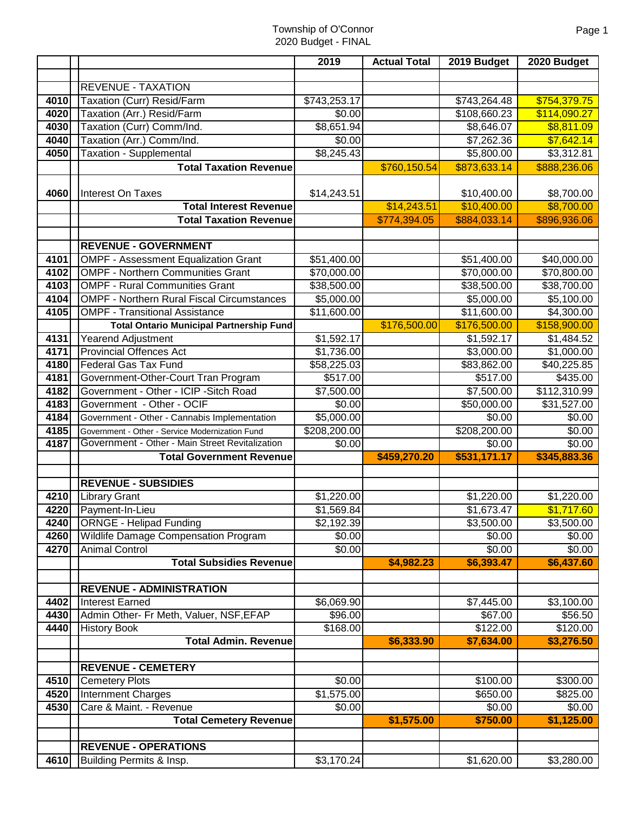|      |                                                   | 2019               | <b>Actual Total</b> | 2019 Budget            | 2020 Budget  |
|------|---------------------------------------------------|--------------------|---------------------|------------------------|--------------|
|      |                                                   |                    |                     |                        |              |
|      | <b>REVENUE - TAXATION</b>                         |                    |                     |                        |              |
| 4010 | Taxation (Curr) Resid/Farm                        | \$743,253.17       |                     | \$743,264.48           | \$754,379.75 |
| 4020 | Taxation (Arr.) Resid/Farm                        | \$0.00             |                     | \$108,660.23           | \$114,090.27 |
| 4030 | Taxation (Curr) Comm/Ind.                         | \$8,651.94         |                     | \$8,646.07             | \$8,811.09   |
| 4040 | Taxation (Arr.) Comm/Ind.                         | \$0.00             |                     | \$7,262.36             | \$7,642.14   |
| 4050 | <b>Taxation - Supplemental</b>                    | $\sqrt{$8,245.43}$ |                     | \$5,800.00             | \$3,312.81   |
|      | <b>Total Taxation Revenue</b>                     |                    | \$760,150.54        | \$873,633.14           | \$888,236.06 |
| 4060 | Interest On Taxes                                 | \$14,243.51        |                     | \$10,400.00            | \$8,700.00   |
|      | <b>Total Interest Revenue</b>                     |                    | \$14,243.51         | \$10,400.00            | \$8,700.00   |
|      | <b>Total Taxation Revenue</b>                     |                    | \$774,394.05        | \$884,033.14           | \$896,936.06 |
|      |                                                   |                    |                     |                        |              |
|      | <b>REVENUE - GOVERNMENT</b>                       |                    |                     |                        |              |
| 4101 | <b>OMPF - Assessment Equalization Grant</b>       | \$51,400.00        |                     | \$51,400.00            | \$40,000.00  |
| 4102 | <b>OMPF - Northern Communities Grant</b>          | \$70,000.00        |                     | \$70,000.00            | \$70,800.00  |
| 4103 | <b>OMPF - Rural Communities Grant</b>             | \$38,500.00        |                     | \$38,500.00            | \$38,700.00  |
| 4104 | <b>OMPF - Northern Rural Fiscal Circumstances</b> | \$5,000.00         |                     | \$5,000.00             | \$5,100.00   |
| 4105 | <b>OMPF - Transitional Assistance</b>             | \$11,600.00        |                     | \$11,600.00            | \$4,300.00   |
|      | <b>Total Ontario Municipal Partnership Fund</b>   |                    | \$176,500.00        | \$176,500.00           | \$158,900.00 |
| 4131 | Yearend Adjustment                                | \$1,592.17         |                     | $\overline{$1,592.17}$ | \$1,484.52   |
| 4171 | <b>Provincial Offences Act</b>                    | \$1,736.00         |                     | \$3,000.00             | \$1,000.00   |
| 4180 | <b>Federal Gas Tax Fund</b>                       | \$58,225.03        |                     | \$83,862.00            | \$40,225.85  |
| 4181 | Government-Other-Court Tran Program               | \$517.00           |                     | \$517.00               | \$435.00     |
| 4182 | Government - Other - ICIP - Sitch Road            | \$7,500.00         |                     | \$7,500.00             | \$112,310.99 |
| 4183 | Government - Other - OCIF                         | \$0.00             |                     | \$50,000.00            | \$31,527.00  |
| 4184 | Government - Other - Cannabis Implementation      | \$5,000.00         |                     | $\sqrt{$0.00}$         | \$0.00       |
| 4185 | Government - Other - Service Modernization Fund   | \$208,200.00       |                     | \$208,200.00           | \$0.00       |
| 4187 | Government - Other - Main Street Revitalization   | \$0.00             |                     | \$0.00                 | \$0.00       |
|      | <b>Total Government Revenue</b>                   |                    | \$459,270.20        | \$531,171.17           | \$345,883.36 |
|      | <b>REVENUE - SUBSIDIES</b>                        |                    |                     |                        |              |
|      | 4210   Library Grant                              | \$1,220.00         |                     | \$1,220.00             | \$1,220.00   |
|      | 4220 Payment-In-Lieu                              | \$1,569.84         |                     | \$1,673.47             | \$1,717.60   |
| 4240 | <b>ORNGE - Helipad Funding</b>                    | \$2,192.39         |                     | \$3,500.00             | \$3,500.00   |
| 4260 | <b>Wildlife Damage Compensation Program</b>       | \$0.00             |                     | \$0.00                 | \$0.00       |
| 4270 | <b>Animal Control</b>                             | \$0.00             |                     | \$0.00                 | \$0.00       |
|      | <b>Total Subsidies Revenue</b>                    |                    | \$4,982.23          | \$6,393.47             | \$6,437.60   |
|      | <b>REVENUE - ADMINISTRATION</b>                   |                    |                     |                        |              |
| 4402 | <b>Interest Earned</b>                            | \$6,069.90         |                     | \$7,445.00             | \$3,100.00   |
| 4430 | Admin Other- Fr Meth, Valuer, NSF, EFAP           | \$96.00            |                     | \$67.00                | \$56.50      |
| 4440 | <b>History Book</b>                               | \$168.00           |                     | \$122.00               | \$120.00     |
|      | <b>Total Admin. Revenue</b>                       |                    | \$6,333.90          | \$7,634.00             | \$3,276.50   |
|      | <b>REVENUE - CEMETERY</b>                         |                    |                     |                        |              |
| 4510 | <b>Cemetery Plots</b>                             | \$0.00             |                     | \$100.00               | \$300.00     |
| 4520 | Internment Charges                                | \$1,575.00         |                     | \$650.00               | \$825.00     |
| 4530 | Care & Maint. - Revenue                           | \$0.00             |                     | \$0.00                 | \$0.00       |
|      | <b>Total Cemetery Revenue</b>                     |                    | \$1,575.00          | \$750.00               | \$1,125.00   |
|      |                                                   |                    |                     |                        |              |
|      | <b>REVENUE - OPERATIONS</b>                       |                    |                     |                        |              |
|      | 4610 Building Permits & Insp.                     | \$3,170.24         |                     | \$1,620.00             | \$3,280.00   |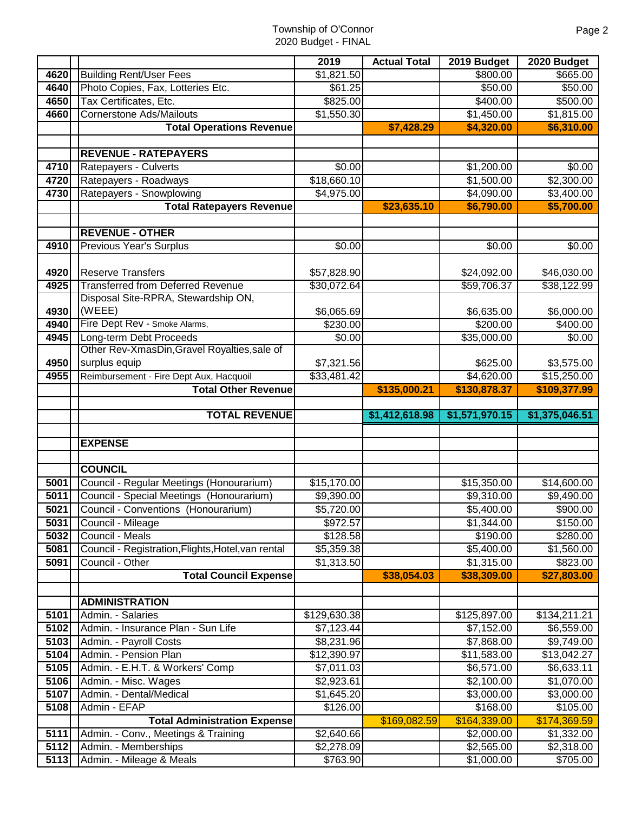|              |                                                                       | 2019                     | <b>Actual Total</b> | 2019 Budget              | 2020 Budget            |
|--------------|-----------------------------------------------------------------------|--------------------------|---------------------|--------------------------|------------------------|
| 4620         | <b>Building Rent/User Fees</b>                                        | \$1,821.50               |                     | \$800.00                 | \$665.00               |
| 4640         | Photo Copies, Fax, Lotteries Etc.                                     | \$61.25                  |                     | \$50.00                  | \$50.00                |
| 4650         | Tax Certificates, Etc.                                                | \$825.00                 |                     | \$400.00                 | \$500.00               |
| 4660         | <b>Cornerstone Ads/Mailouts</b>                                       | \$1,550.30               |                     | \$1,450.00               | \$1,815.00             |
|              | <b>Total Operations Revenue</b>                                       |                          | \$7,428.29          | \$4,320.00               | \$6,310.00             |
|              |                                                                       |                          |                     |                          |                        |
|              | <b>REVENUE - RATEPAYERS</b>                                           |                          |                     |                          |                        |
| 4710         | Ratepayers - Culverts                                                 | \$0.00                   |                     | \$1,200.00               | \$0.00                 |
| 4720         | Ratepayers - Roadways                                                 | \$18,660.10              |                     | \$1,500.00               | \$2,300.00             |
| 4730         | Ratepayers - Snowplowing                                              | \$4,975.00               |                     | \$4,090.00               | \$3,400.00             |
|              | <b>Total Ratepayers Revenue</b>                                       |                          | \$23,635.10         | \$6,790.00               | \$5,700.00             |
|              |                                                                       |                          |                     |                          |                        |
|              | <b>REVENUE - OTHER</b>                                                |                          |                     |                          |                        |
| 4910         | <b>Previous Year's Surplus</b>                                        | \$0.00                   |                     | $\sqrt{$0.00}$           | \$0.00                 |
|              |                                                                       |                          |                     |                          |                        |
| 4920         | <b>Reserve Transfers</b>                                              | \$57,828.90              |                     | \$24,092.00              | \$46,030.00            |
| 4925         | <b>Transferred from Deferred Revenue</b>                              | \$30,072.64              |                     | \$59,706.37              | \$38,122.99            |
|              | Disposal Site-RPRA, Stewardship ON,                                   |                          |                     |                          |                        |
| 4930         | (WEEE)                                                                | \$6,065.69               |                     | \$6,635.00               | \$6,000.00             |
| 4940         | Fire Dept Rev - Smoke Alarms,                                         | \$230.00                 |                     | \$200.00                 | \$400.00               |
| 4945         | Long-term Debt Proceeds                                               | \$0.00                   |                     | \$35,000.00              | \$0.00                 |
|              | Other Rev-XmasDin, Gravel Royalties, sale of                          |                          |                     |                          |                        |
| 4950         | surplus equip                                                         | \$7,321.56               |                     | \$625.00                 | \$3,575.00             |
| 4955         | Reimbursement - Fire Dept Aux, Hacquoil                               | \$33,481.42              |                     | \$4,620.00               | \$15,250.00            |
|              | <b>Total Other Revenue</b>                                            |                          | \$135,000.21        | \$130,878.37             | \$109,377.99           |
|              | <b>TOTAL REVENUE</b>                                                  |                          | \$1,412,618.98      | \$1,571,970.15           | \$1,375,046.51         |
|              |                                                                       |                          |                     |                          |                        |
|              | <b>EXPENSE</b>                                                        |                          |                     |                          |                        |
|              |                                                                       |                          |                     |                          |                        |
|              | <b>COUNCIL</b>                                                        |                          |                     |                          |                        |
| 5001         | Council - Regular Meetings (Honourarium)                              | \$15,170.00              |                     |                          |                        |
| 5011         | Council - Special Meetings (Honourarium)                              |                          |                     |                          |                        |
| 5021         |                                                                       |                          |                     | \$15,350.00              | \$14,600.00            |
| 5031         |                                                                       | \$9,390.00               |                     | \$9,310.00               | \$9,490.00             |
|              | Council - Conventions (Honourarium)                                   | \$5,720.00               |                     | \$5,400.00               | \$900.00               |
|              | Council - Mileage                                                     | \$972.57                 |                     | \$1,344.00               | \$150.00               |
| 5032<br>5081 | Council - Meals                                                       | \$128.58                 |                     | \$190.00                 | \$280.00               |
| 5091         | Council - Registration, Flights, Hotel, van rental<br>Council - Other | \$5,359.38<br>\$1,313.50 |                     | \$5,400.00<br>\$1,315.00 | \$1,560.00<br>\$823.00 |
|              | <b>Total Council Expense</b>                                          |                          | \$38,054.03         | \$38,309.00              | \$27,803.00            |
|              |                                                                       |                          |                     |                          |                        |
|              | <b>ADMINISTRATION</b>                                                 |                          |                     |                          |                        |
| 5101         | Admin. - Salaries                                                     | \$129,630.38             |                     | \$125,897.00             | \$134,211.21           |
| 5102         | Admin. - Insurance Plan - Sun Life                                    | $\overline{$7,123.44}$   |                     | \$7,152.00               | \$6,559.00             |
| 5103         | Admin. - Payroll Costs                                                | \$8,231.96               |                     | \$7,868.00               | \$9,749.00             |
| 5104         | Admin. - Pension Plan                                                 | \$12,390.97              |                     | \$11,583.00              | \$13,042.27            |
| 5105         | Admin. - E.H.T. & Workers' Comp                                       | \$7,011.03               |                     | \$6,571.00               | \$6,633.11             |
| 5106         | Admin. - Misc. Wages                                                  | \$2,923.61               |                     | \$2,100.00               | \$1,070.00             |
| 5107         | Admin. - Dental/Medical                                               | \$1,645.20               |                     | \$3,000.00               | \$3,000.00             |
| 5108         | Admin - EFAP                                                          | \$126.00                 |                     | \$168.00                 | \$105.00               |
|              | <b>Total Administration Expense</b>                                   |                          | \$169,082.59        | \$164,339.00             | \$174,369.59           |
| 5111         | Admin. - Conv., Meetings & Training                                   | \$2,640.66               |                     | \$2,000.00               | \$1,332.00             |
| 5112<br>5113 | Admin. - Memberships<br>Admin. - Mileage & Meals                      | \$2,278.09<br>\$763.90   |                     | \$2,565.00<br>\$1,000.00 | \$2,318.00<br>\$705.00 |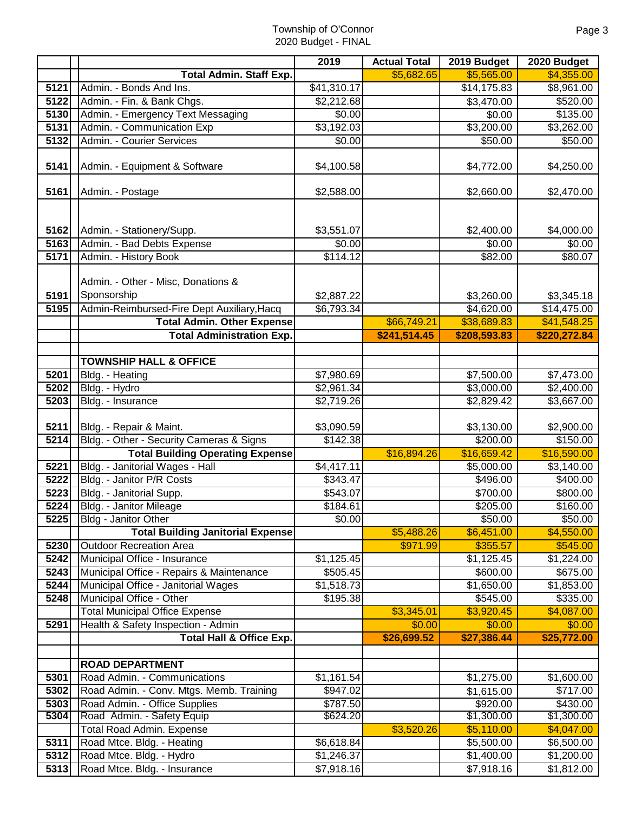|                      |                                                                                                                                                                          | 2019                             | <b>Actual Total</b>         | 2019 Budget                                             | 2020 Budget                                              |
|----------------------|--------------------------------------------------------------------------------------------------------------------------------------------------------------------------|----------------------------------|-----------------------------|---------------------------------------------------------|----------------------------------------------------------|
|                      | <b>Total Admin. Staff Exp.</b>                                                                                                                                           |                                  | \$5,682.65                  | \$5,565.00                                              | \$4,355.00                                               |
| 5121                 | Admin. - Bonds And Ins.                                                                                                                                                  | \$41,310.17                      |                             | \$14,175.83                                             | \$8,961.00                                               |
| 5122                 | Admin. - Fin. & Bank Chgs.                                                                                                                                               | \$2,212.68                       |                             | \$3,470.00                                              | \$520.00                                                 |
| 5130                 | Admin. - Emergency Text Messaging                                                                                                                                        | \$0.00                           |                             | \$0.00                                                  | \$135.00                                                 |
| 5131                 | Admin. - Communication Exp                                                                                                                                               | \$3,192.03                       |                             | \$3,200.00                                              | \$3,262.00                                               |
| 5132                 | Admin. - Courier Services                                                                                                                                                | \$0.00                           |                             | \$50.00                                                 | \$50.00                                                  |
| 5141                 | Admin. - Equipment & Software                                                                                                                                            | \$4,100.58                       |                             | \$4,772.00                                              | \$4,250.00                                               |
| 5161                 | Admin. - Postage                                                                                                                                                         | \$2,588.00                       |                             | \$2,660.00                                              | \$2,470.00                                               |
| 5162<br>5163<br>5171 | Admin. - Stationery/Supp.<br>Admin. - Bad Debts Expense<br>Admin. - History Book                                                                                         | \$3,551.07<br>\$0.00<br>\$114.12 |                             | \$2,400.00<br>\$0.00<br>\$82.00                         | \$4,000.00<br>\$0.00<br>\$80.07                          |
|                      |                                                                                                                                                                          |                                  |                             |                                                         |                                                          |
| 5191<br>5195         | Admin. - Other - Misc, Donations &<br>Sponsorship<br>Admin-Reimbursed-Fire Dept Auxiliary, Hacq<br><b>Total Admin. Other Expense</b><br><b>Total Administration Exp.</b> | \$2,887.22<br>\$6,793.34         | \$66,749.21<br>\$241,514.45 | \$3,260.00<br>\$4,620.00<br>\$38,689.83<br>\$208,593.83 | \$3,345.18<br>\$14,475.00<br>\$41,548.25<br>\$220,272.84 |
|                      |                                                                                                                                                                          |                                  |                             |                                                         |                                                          |
|                      | <b>TOWNSHIP HALL &amp; OFFICE</b>                                                                                                                                        |                                  |                             |                                                         |                                                          |
| 5201                 | Bldg. - Heating                                                                                                                                                          | \$7,980.69                       |                             | \$7,500.00                                              | \$7,473.00                                               |
| 5202                 | Bldg. - Hydro                                                                                                                                                            | \$2,961.34                       |                             | \$3,000.00                                              | \$2,400.00                                               |
| 5203                 | Bldg. - Insurance                                                                                                                                                        | \$2,719.26                       |                             | \$2,829.42                                              | \$3,667.00                                               |
| 5211<br>5214         | Bldg. - Repair & Maint.<br>Bldg. - Other - Security Cameras & Signs                                                                                                      | \$3,090.59<br>\$142.38           |                             | \$3,130.00<br>\$200.00                                  | \$2,900.00<br>\$150.00                                   |
|                      | <b>Total Building Operating Expense</b>                                                                                                                                  |                                  | \$16,894.26                 | \$16,659.42                                             | \$16,590.00                                              |
| 5221                 | Bldg. - Janitorial Wages - Hall                                                                                                                                          | \$4,417.11                       |                             | \$5,000.00                                              | \$3,140.00                                               |
| 5222                 | Bldg. - Janitor P/R Costs                                                                                                                                                | \$343.47                         |                             | \$496.00                                                | \$400.00                                                 |
| 5223                 | Bldg. - Janitorial Supp.                                                                                                                                                 | \$543.07                         |                             | \$700.00                                                | \$800.00                                                 |
| 5224                 | Bldg. - Janitor Mileage                                                                                                                                                  | \$184.61                         |                             | \$205.00                                                | \$160.00                                                 |
| 5225                 | Bldg - Janitor Other                                                                                                                                                     | \$0.00                           |                             | \$50.00                                                 | \$50.00                                                  |
|                      | <b>Total Building Janitorial Expense</b>                                                                                                                                 |                                  | \$5,488.26                  | \$6,451.00                                              | \$4,550.00                                               |
| 5230                 | <b>Outdoor Recreation Area</b>                                                                                                                                           |                                  | \$971.99                    | \$355.57                                                | \$545.00                                                 |
| 5242                 | Municipal Office - Insurance                                                                                                                                             | \$1,125.45                       |                             | $\overline{31}$ , 125.45                                | \$1,224.00                                               |
| 5243                 | Municipal Office - Repairs & Maintenance                                                                                                                                 | \$505.45                         |                             | \$600.00                                                | \$675.00                                                 |
| 5244                 | Municipal Office - Janitorial Wages                                                                                                                                      | $\overline{\$1,518.73}$          |                             | \$1,650.00                                              | \$1,853.00                                               |
| 5248                 | Municipal Office - Other                                                                                                                                                 | \$195.38                         |                             | \$545.00                                                | \$335.00                                                 |
|                      | <b>Total Municipal Office Expense</b>                                                                                                                                    |                                  | \$3,345.01                  | \$3,920.45                                              | \$4,087.00                                               |
| 5291                 | Health & Safety Inspection - Admin                                                                                                                                       |                                  | \$0.00                      | \$0.00                                                  | \$0.00                                                   |
|                      | <b>Total Hall &amp; Office Exp.</b>                                                                                                                                      |                                  | \$26,699.52                 | \$27,386.44                                             | \$25,772.00                                              |
|                      | <b>ROAD DEPARTMENT</b>                                                                                                                                                   |                                  |                             |                                                         |                                                          |
| 5301                 | Road Admin. - Communications                                                                                                                                             | \$1,161.54                       |                             | \$1,275.00                                              | \$1,600.00                                               |
| 5302                 | Road Admin. - Conv. Mtgs. Memb. Training                                                                                                                                 | \$947.02                         |                             | \$1,615.00                                              | \$717.00                                                 |
| 5303                 | Road Admin. - Office Supplies                                                                                                                                            | \$787.50                         |                             | \$920.00                                                | \$430.00                                                 |
| 5304                 | Road Admin. - Safety Equip                                                                                                                                               | \$624.20                         |                             | \$1,300.00                                              | \$1,300.00                                               |
|                      | <b>Total Road Admin. Expense</b>                                                                                                                                         |                                  | \$3,520.26                  | \$5,110.00                                              | \$4,047.00                                               |
| 5311                 | Road Mtce. Bldg. - Heating                                                                                                                                               | \$6,618.84                       |                             | \$5,500.00                                              | \$6,500.00                                               |
| 5312                 | Road Mtce. Bldg. - Hydro                                                                                                                                                 | \$1,246.37                       |                             | \$1,400.00                                              | \$1,200.00                                               |
| 5313                 | Road Mtce. Bldg. - Insurance                                                                                                                                             | \$7,918.16                       |                             | \$7,918.16                                              | \$1,812.00                                               |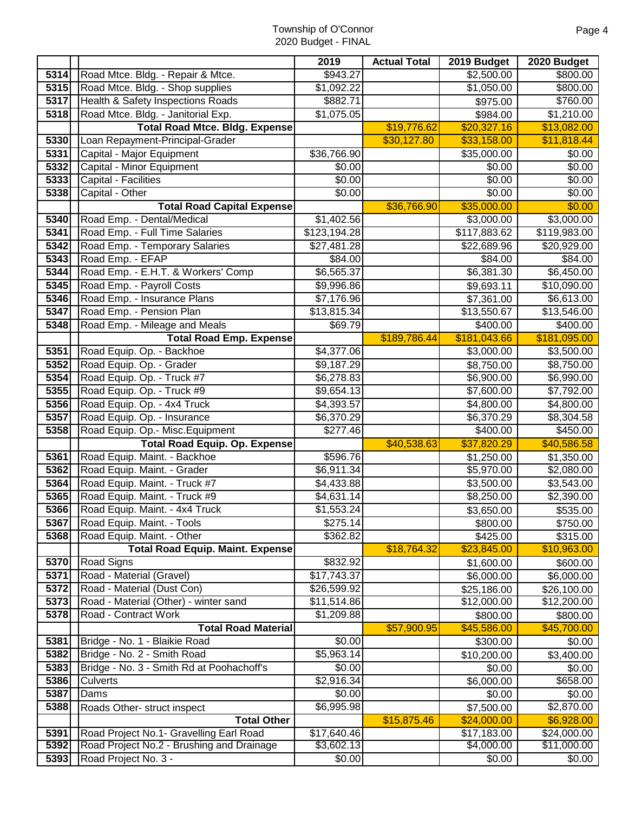|              |                                                                | 2019                      | <b>Actual Total</b> | 2019 Budget            | 2020 Budget          |
|--------------|----------------------------------------------------------------|---------------------------|---------------------|------------------------|----------------------|
| 5314         | Road Mtce. Bldg. - Repair & Mtce.                              | \$943.27                  |                     | \$2,500.00             | \$800.00             |
| 5315         | Road Mtce. Bldg. - Shop supplies                               | \$1,092.22                |                     | \$1,050.00             | \$800.00             |
| 5317         | Health & Safety Inspections Roads                              | \$882.71                  |                     | \$975.00               | \$760.00             |
| 5318         | Road Mtce. Bldg. - Janitorial Exp.                             | \$1,075.05                |                     | \$984.00               | \$1,210.00           |
|              | <b>Total Road Mtce. Bldg. Expense</b>                          |                           | \$19,776.62         | \$20,327.16            | \$13,082.00          |
| 5330         | Loan Repayment-Principal-Grader                                |                           | \$30,127.80         | \$33,158.00            | \$11,818.44          |
| 5331         | Capital - Major Equipment                                      | \$36,766.90               |                     | \$35,000.00            | \$0.00               |
| 5332         | Capital - Minor Equipment                                      | \$0.00                    |                     | \$0.00                 | $\sqrt{$0.00}$       |
| 5333         | Capital - Facilities                                           | \$0.00                    |                     | \$0.00                 | \$0.00               |
| 5338         | Capital - Other                                                | \$0.00                    |                     | \$0.00                 | \$0.00               |
|              | <b>Total Road Capital Expense</b>                              |                           | \$36,766.90         | \$35,000.00            | \$0.00               |
| 5340         | Road Emp. - Dental/Medical                                     | \$1,402.56                |                     | \$3,000.00             | \$3,000.00           |
| 5341         | Road Emp. - Full Time Salaries                                 | \$123,194.28              |                     | \$117,883.62           | \$119,983.00         |
| 3342         | Road Emp. - Temporary Salaries                                 | \$27,481.28               |                     | \$22,689.96            | \$20,929.00          |
| 5343         | Road Emp. - EFAP                                               | \$84.00                   |                     | \$84.00                | \$84.00              |
| 5344         | Road Emp. - E.H.T. & Workers' Comp                             | \$6,565.37                |                     | \$6,381.30             | \$6,450.00           |
| 5345         | Road Emp. - Payroll Costs                                      | \$9,996.86                |                     | \$9,693.11             | \$10,090.00          |
| 5346         | Road Emp. - Insurance Plans                                    | \$7,176.96                |                     | \$7,361.00             | \$6,613.00           |
| 5347         | Road Emp. - Pension Plan                                       | \$13,815.34               |                     | \$13,550.67            | \$13,546.00          |
| 5348         | Road Emp. - Mileage and Meals                                  | \$69.79                   |                     | \$400.00               | \$400.00             |
|              | <b>Total Road Emp. Expense</b>                                 |                           | \$189,786.44        | \$181,043.66           | \$181,095.00         |
| 5351         | Road Equip. Op. - Backhoe                                      | \$4,377.06                |                     | \$3,000.00             | \$3,500.00           |
| 5352         | Road Equip. Op. - Grader                                       | \$9,187.29                |                     | \$8,750.00             | \$8,750.00           |
| 5354         | Road Equip. Op. - Truck #7                                     | \$6,278.83                |                     | \$6,900.00             | \$6,990.00           |
| 5355         | Road Equip. Op. - Truck #9                                     | \$9,654.13                |                     | \$7,600.00             | \$7,792.00           |
| 5356         | Road Equip. Op. - 4x4 Truck                                    | \$4,393.57                |                     | \$4,800.00             | \$4,800.00           |
| 5357         | Road Equip. Op. - Insurance                                    | \$6,370.29                |                     | \$6,370.29             | \$8,304.58           |
| 5358         | Road Equip. Op.- Misc. Equipment                               | \$277.46                  |                     | \$400.00               | \$450.00             |
|              | <b>Total Road Equip. Op. Expense</b>                           |                           | \$40,538.63         | \$37,820.29            | \$40,586.58          |
| 5361         | Road Equip. Maint. - Backhoe                                   | \$596.76                  |                     | \$1,250.00             | \$1,350.00           |
| 5362         | Road Equip. Maint. - Grader                                    | \$6,911.34                |                     | \$5,970.00             | \$2,080.00           |
| 5364         | Road Equip. Maint. - Truck #7<br>Road Equip. Maint. - Truck #9 | \$4,433.88                |                     | \$3,500.00             | \$3,543.00           |
| 5365<br>5366 |                                                                | \$4,631.14]<br>\$1,553.24 |                     | \$8,250.00             | \$2,390.00           |
| 5367         | Road Equip. Maint. - 4x4 Truck<br>Road Equip. Maint. - Tools   | \$275.14]                 |                     | \$3,650.00<br>\$800.00 | \$535.00             |
| 5368         | Road Equip. Maint. - Other                                     | \$362.82                  |                     | \$425.00               | \$750.00<br>\$315.00 |
|              | <b>Total Road Equip. Maint. Expense</b>                        |                           | \$18,764.32         | \$23,845.00            | \$10,963.00          |
| 5370         | <b>Road Signs</b>                                              | \$832.92                  |                     | \$1,600.00             | \$600.00             |
| 5371         | Road - Material (Gravel)                                       | \$17,743.37               |                     | \$6,000.00             | \$6,000.00           |
| 5372         | Road - Material (Dust Con)                                     | \$26,599.92               |                     | \$25,186.00            | \$26,100.00          |
| 5373         | Road - Material (Other) - winter sand                          | \$11,514.86               |                     | \$12,000.00            | \$12,200.00          |
| 5378         | Road - Contract Work                                           | \$1,209.88                |                     | \$800.00               | \$800.00             |
|              | <b>Total Road Material</b>                                     |                           | \$57,900.95         | \$45,586.00            | \$45,700.00          |
| 5381         | Bridge - No. 1 - Blaikie Road                                  | \$0.00                    |                     | \$300.00               | \$0.00               |
| 5382         | Bridge - No. 2 - Smith Road                                    | \$5,963.14                |                     | \$10,200.00            | \$3,400.00           |
| 5383         | Bridge - No. 3 - Smith Rd at Poohachoff's                      | \$0.00                    |                     | \$0.00                 | \$0.00               |
| 5386         | Culverts                                                       | \$2,916.34                |                     | \$6,000.00             | \$658.00             |
| 5387         | Dams                                                           | \$0.00                    |                     | \$0.00                 | \$0.00               |
| 5388         | Roads Other- struct inspect                                    | \$6,995.98                |                     | \$7,500.00             | \$2,870.00           |
|              | <b>Total Other</b>                                             |                           | \$15,875.46         | \$24,000.00            | \$6,928.00           |
| 5391         | Road Project No.1- Gravelling Earl Road                        | \$17,640.46               |                     | \$17,183.00            | \$24,000.00          |
| 5392         | Road Project No.2 - Brushing and Drainage                      | \$3,602.13                |                     | \$4,000.00             | \$11,000.00          |
| 5393         | Road Project No. 3 -                                           | \$0.00                    |                     | \$0.00                 | \$0.00               |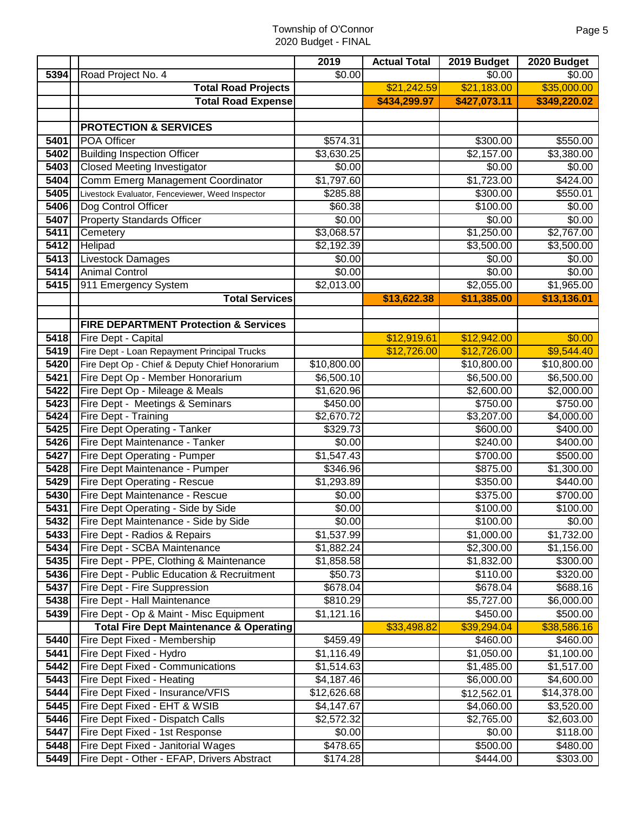|               |                                                               | 2019                     | <b>Actual Total</b> | 2019 Budget              | 2020 Budget              |
|---------------|---------------------------------------------------------------|--------------------------|---------------------|--------------------------|--------------------------|
| 5394          | Road Project No. 4                                            | \$0.00                   |                     | \$0.00                   | \$0.00                   |
|               | <b>Total Road Projects</b>                                    |                          | \$21,242.59         | \$21,183.00              | \$35,000.00              |
|               | <b>Total Road Expense</b>                                     |                          | \$434,299.97        | \$427,073.11             | \$349,220.02             |
|               |                                                               |                          |                     |                          |                          |
|               | <b>PROTECTION &amp; SERVICES</b>                              |                          |                     |                          |                          |
| 5401          | POA Officer                                                   | \$574.31                 |                     | \$300.00                 | \$550.00                 |
| 5402          | <b>Building Inspection Officer</b>                            | \$3,630.25               |                     | $\sqrt{$2,157.00}$       | \$3,380.00               |
| 5403          | <b>Closed Meeting Investigator</b>                            | \$0.00                   |                     | \$0.00                   | \$0.00                   |
| 5404          | Comm Emerg Management Coordinator                             | \$1,797.60               |                     | \$1,723.00               | \$424.00                 |
| 5405          | Livestock Evaluator, Fenceviewer, Weed Inspector              | \$285.88                 |                     | \$300.00                 | \$550.01                 |
| 5406          | Dog Control Officer                                           | \$60.38                  |                     | \$100.00                 | $\sqrt{$0.00}$           |
| 5407          | <b>Property Standards Officer</b>                             | \$0.00                   |                     | \$0.00                   | \$0.00                   |
| 5411          | Cemetery                                                      | \$3,068.57               |                     | \$1,250.00               | \$2,767.00               |
| 5412          | Helipad                                                       | \$2,192.39               |                     | \$3,500.00               | \$3,500.00               |
| 5413          | <b>Livestock Damages</b>                                      | \$0.00                   |                     | \$0.00                   | \$0.00                   |
| $\sqrt{5414}$ | <b>Animal Control</b>                                         | \$0.00                   |                     | \$0.00                   | \$0.00                   |
| 5415          | 911 Emergency System<br><b>Total Services</b>                 | \$2,013.00               |                     | \$2,055.00               | \$1,965.00               |
|               |                                                               |                          | \$13,622.38         | \$11,385.00              | \$13,136.01              |
|               | <b>FIRE DEPARTMENT Protection &amp; Services</b>              |                          |                     |                          |                          |
| 5418          | Fire Dept - Capital                                           |                          | \$12,919.61         | \$12,942.00              | \$0.00                   |
| 5419          | Fire Dept - Loan Repayment Principal Trucks                   |                          | \$12,726.00         | \$12,726.00              | $\overline{\$9,544.40}$  |
| 5420          | Fire Dept Op - Chief & Deputy Chief Honorarium                | \$10,800.00              |                     | \$10,800.00              | \$10,800.00              |
| 5421          | Fire Dept Op - Member Honorarium                              | \$6,500.10               |                     | \$6,500.00               | \$6,500.00               |
| 5422          | Fire Dept Op - Mileage & Meals                                | \$1,620.96               |                     | \$2,600.00               | \$2,000.00               |
| 5423          | Fire Dept - Meetings & Seminars                               | \$450.00                 |                     | \$750.00                 | \$750.00                 |
| 5424          | Fire Dept - Training                                          | \$2,670.72               |                     | \$3,207.00               | \$4,000.00               |
| 5425          | Fire Dept Operating - Tanker                                  | 3329.73                  |                     | \$600.00                 | \$400.00                 |
| 5426          | Fire Dept Maintenance - Tanker                                | \$0.00                   |                     | \$240.00                 | \$400.00                 |
| 5427          | Fire Dept Operating - Pumper                                  | \$1,547.43               |                     | \$700.00                 | \$500.00                 |
| 5428          | Fire Dept Maintenance - Pumper                                | \$346.96                 |                     | \$875.00                 | \$1,300.00               |
| 5429          | Fire Dept Operating - Rescue                                  | \$1,293.89               |                     | \$350.00                 | \$440.00                 |
| 5430          | Fire Dept Maintenance - Rescue                                | \$0.00                   |                     | \$375.00                 | \$700.00                 |
| 5431          | Fire Dept Operating - Side by Side                            | \$0.00                   |                     | \$100.00                 | \$100.00                 |
| 5432          | Fire Dept Maintenance - Side by Side                          | \$0.00                   |                     | \$100.00                 | \$0.00                   |
| 5433          | Fire Dept - Radios & Repairs                                  | \$1,537.99               |                     | \$1,000.00               | \$1,732.00               |
| 5434          | Fire Dept - SCBA Maintenance                                  | \$1,882.24               |                     | \$2,300.00               | \$1,156.00               |
| 5435          | Fire Dept - PPE, Clothing & Maintenance                       | \$1,858.58               |                     | \$1,832.00               | \$300.00                 |
| 5436          | Fire Dept - Public Education & Recruitment                    | \$50.73                  |                     | \$110.00                 | \$320.00                 |
| 5437          | Fire Dept - Fire Suppression                                  | \$678.04                 |                     | \$678.04                 | \$688.16                 |
| 5438          | Fire Dept - Hall Maintenance                                  | \$810.29                 |                     | \$5,727.00               | \$6,000.00               |
| 5439          | Fire Dept - Op & Maint - Misc Equipment                       | \$1,121.16               |                     | \$450.00                 | \$500.00                 |
|               | <b>Total Fire Dept Maintenance &amp; Operating</b>            |                          | \$33,498.82         | \$39,294.04              | \$38,586.16              |
| 5440          | Fire Dept Fixed - Membership                                  | \$459.49                 |                     | \$460.00                 | \$460.00                 |
| 5441<br>5442  | Fire Dept Fixed - Hydro                                       | \$1,116.49               |                     | \$1,050.00               | \$1,100.00               |
| 5443          | Fire Dept Fixed - Communications<br>Fire Dept Fixed - Heating | \$1,514.63<br>\$4,187.46 |                     | \$1,485.00<br>\$6,000.00 | \$1,517.00<br>\$4,600.00 |
| 5444          | Fire Dept Fixed - Insurance/VFIS                              | \$12,626.68              |                     | \$12,562.01              | \$14,378.00              |
| 5445          | Fire Dept Fixed - EHT & WSIB                                  | \$4,147.67               |                     | \$4,060.00               | \$3,520.00               |
| 5446          | Fire Dept Fixed - Dispatch Calls                              | \$2,572.32               |                     | \$2,765.00               | \$2,603.00               |
| 5447          | Fire Dept Fixed - 1st Response                                | \$0.00                   |                     | \$0.00                   | \$118.00                 |
| 5448          | Fire Dept Fixed - Janitorial Wages                            | \$478.65                 |                     | \$500.00                 | \$480.00                 |
| 5449          | Fire Dept - Other - EFAP, Drivers Abstract                    | \$174.28                 |                     | \$444.00                 | \$303.00                 |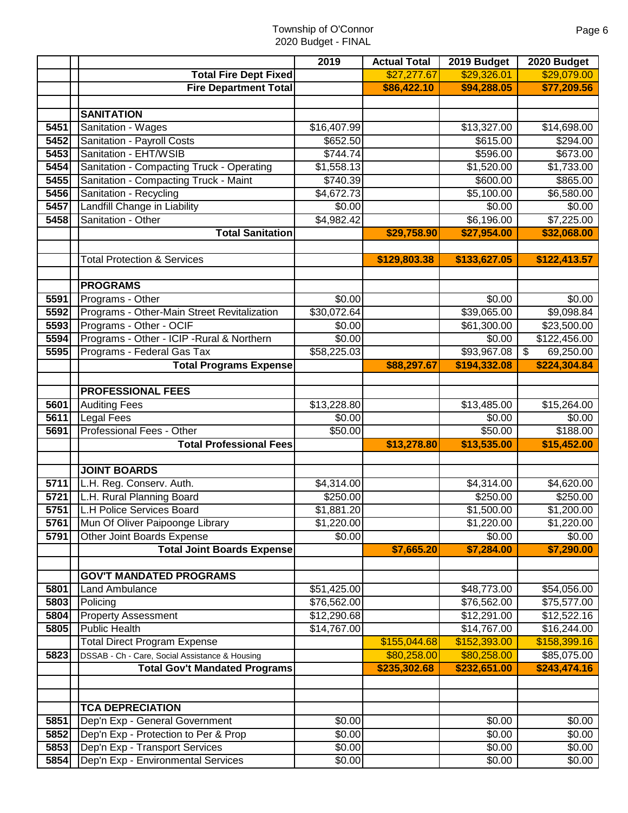| <b>Total Fire Dept Fixed</b><br>\$27,277.67<br>\$29,326.01<br>\$29,079.00<br><b>Fire Department Total</b><br>\$86,422.10<br>\$94,288.05<br>\$77,209.56<br><b>SANITATION</b><br>Sanitation - Wages<br>5451<br>\$16,407.99<br>\$13,327.00<br>\$14,698.00<br>5452<br>Sanitation - Payroll Costs<br>\$652.50<br>\$615.00<br>\$294.00<br>Sanitation - EHT/WSIB<br>5453<br>\$744.74<br>\$596.00<br>\$673.00<br>\$1,558.13<br>\$1,520.00<br>\$1,733.00<br>5454<br>Sanitation - Compacting Truck - Operating<br>Sanitation - Compacting Truck - Maint<br>\$740.39<br>5455<br>\$600.00<br>\$865.00<br>5456<br>Sanitation - Recycling<br>\$4,672.73<br>\$5,100.00<br>\$6,580.00<br>Landfill Change in Liability<br>5457<br>\$0.00<br>\$0.00<br>\$0.00<br>5458<br>Sanitation - Other<br>\$4,982.42<br>\$6,196.00<br>\$7,225.00<br><b>Total Sanitation</b><br>\$29,758.90<br>\$27,954.00<br>\$32,068.00<br><b>Total Protection &amp; Services</b><br>\$129,803.38<br>\$133,627.05<br>\$122,413.57<br><b>PROGRAMS</b><br>5591<br>\$0.00<br>Programs - Other<br>\$0.00<br>\$0.00<br>5592<br>Programs - Other-Main Street Revitalization<br>\$30,072.64<br>\$39,065.00<br>\$9,098.84<br>Programs - Other - OCIF<br>5593<br>\$61,300.00<br>\$23,500.00<br>\$0.00<br>Programs - Other - ICIP - Rural & Northern<br>5594<br>\$0.00<br>\$122,456.00<br>\$0.00<br>Programs - Federal Gas Tax<br>\$58,225.03<br>\$93,967.08<br>5595<br>69,250.00<br>$\boldsymbol{\mathsf{S}}$<br><b>Total Programs Expense</b><br>\$88,297.67<br>\$194,332.08<br>\$224,304.84<br><b>PROFESSIONAL FEES</b><br><b>Auditing Fees</b><br>5601<br>\$13,228.80<br>\$13,485.00<br>\$15,264.00<br>5611<br><b>Legal Fees</b><br>\$0.00<br>\$0.00<br>\$0.00<br>Professional Fees - Other<br>\$50.00<br>\$188.00<br>\$50.00<br>5691<br>\$13,535.00<br><b>Total Professional Fees</b><br>\$13,278.80<br>\$15,452.00<br><b>JOINT BOARDS</b><br>5711<br>L.H. Reg. Conserv. Auth.<br>\$4,314.00<br>\$4,314.00<br>\$4,620.00<br>L.H. Rural Planning Board<br>\$250.00<br>\$250.00<br>5721<br>\$250.00<br>5751   L.H Police Services Board<br>\$1,881.20<br>\$1,500.00<br>\$1,200.00<br>5761<br>Mun Of Oliver Paipoonge Library<br>\$1,220.00<br>\$1,220.00<br>\$1,220.00<br>Other Joint Boards Expense<br>\$0.00<br>\$0.00<br>5791<br>\$0.00<br>\$7,290.00<br><b>Total Joint Boards Expense</b><br>\$7,665.20<br>\$7,284.00<br><b>GOV'T MANDATED PROGRAMS</b><br>5801<br><b>Land Ambulance</b><br>\$51,425.00<br>\$48,773.00<br>\$54,056.00<br>5803<br>Policing<br>\$76,562.00<br>\$76,562.00<br>\$75,577.00<br><b>Property Assessment</b><br>\$12,522.16<br>5804<br>\$12,290.68<br>\$12,291.00<br><b>Public Health</b><br>5805<br>\$14,767.00<br>\$14,767.00<br>\$16,244.00<br><b>Total Direct Program Expense</b><br>\$155,044.68<br>\$152,393.00<br>\$158,399.16<br>5823<br>DSSAB - Ch - Care, Social Assistance & Housing<br>\$80,258.00<br>\$80,258.00<br>\$85,075.00<br><b>Total Gov't Mandated Programs</b><br>\$235,302.68<br>\$232,651.00<br>\$243,474.16<br><b>TCA DEPRECIATION</b><br>Dep'n Exp - General Government<br>5851<br>$\sqrt{$0.00}$<br>\$0.00<br>\$0.00<br>Dep'n Exp - Protection to Per & Prop<br>5852<br>\$0.00<br>\$0.00<br>\$0.00<br>5853<br>Dep'n Exp - Transport Services<br>\$0.00<br>\$0.00<br>\$0.00 |      |                                    | 2019   | <b>Actual Total</b> | 2019 Budget | 2020 Budget |
|--------------------------------------------------------------------------------------------------------------------------------------------------------------------------------------------------------------------------------------------------------------------------------------------------------------------------------------------------------------------------------------------------------------------------------------------------------------------------------------------------------------------------------------------------------------------------------------------------------------------------------------------------------------------------------------------------------------------------------------------------------------------------------------------------------------------------------------------------------------------------------------------------------------------------------------------------------------------------------------------------------------------------------------------------------------------------------------------------------------------------------------------------------------------------------------------------------------------------------------------------------------------------------------------------------------------------------------------------------------------------------------------------------------------------------------------------------------------------------------------------------------------------------------------------------------------------------------------------------------------------------------------------------------------------------------------------------------------------------------------------------------------------------------------------------------------------------------------------------------------------------------------------------------------------------------------------------------------------------------------------------------------------------------------------------------------------------------------------------------------------------------------------------------------------------------------------------------------------------------------------------------------------------------------------------------------------------------------------------------------------------------------------------------------------------------------------------------------------------------------------------------------------------------------------------------------------------------------------------------------------------------------------------------------------------------------------------------------------------------------------------------------------------------------------------------------------------------------------------------------------------------------------------------------------------------------------------------------------------------------------------------------------------------------------------------------------------------------------------------------------------------------------------------------------------------------------------------------------------------------------------------------------------|------|------------------------------------|--------|---------------------|-------------|-------------|
|                                                                                                                                                                                                                                                                                                                                                                                                                                                                                                                                                                                                                                                                                                                                                                                                                                                                                                                                                                                                                                                                                                                                                                                                                                                                                                                                                                                                                                                                                                                                                                                                                                                                                                                                                                                                                                                                                                                                                                                                                                                                                                                                                                                                                                                                                                                                                                                                                                                                                                                                                                                                                                                                                                                                                                                                                                                                                                                                                                                                                                                                                                                                                                                                                                                                                |      |                                    |        |                     |             |             |
|                                                                                                                                                                                                                                                                                                                                                                                                                                                                                                                                                                                                                                                                                                                                                                                                                                                                                                                                                                                                                                                                                                                                                                                                                                                                                                                                                                                                                                                                                                                                                                                                                                                                                                                                                                                                                                                                                                                                                                                                                                                                                                                                                                                                                                                                                                                                                                                                                                                                                                                                                                                                                                                                                                                                                                                                                                                                                                                                                                                                                                                                                                                                                                                                                                                                                |      |                                    |        |                     |             |             |
|                                                                                                                                                                                                                                                                                                                                                                                                                                                                                                                                                                                                                                                                                                                                                                                                                                                                                                                                                                                                                                                                                                                                                                                                                                                                                                                                                                                                                                                                                                                                                                                                                                                                                                                                                                                                                                                                                                                                                                                                                                                                                                                                                                                                                                                                                                                                                                                                                                                                                                                                                                                                                                                                                                                                                                                                                                                                                                                                                                                                                                                                                                                                                                                                                                                                                |      |                                    |        |                     |             |             |
|                                                                                                                                                                                                                                                                                                                                                                                                                                                                                                                                                                                                                                                                                                                                                                                                                                                                                                                                                                                                                                                                                                                                                                                                                                                                                                                                                                                                                                                                                                                                                                                                                                                                                                                                                                                                                                                                                                                                                                                                                                                                                                                                                                                                                                                                                                                                                                                                                                                                                                                                                                                                                                                                                                                                                                                                                                                                                                                                                                                                                                                                                                                                                                                                                                                                                |      |                                    |        |                     |             |             |
|                                                                                                                                                                                                                                                                                                                                                                                                                                                                                                                                                                                                                                                                                                                                                                                                                                                                                                                                                                                                                                                                                                                                                                                                                                                                                                                                                                                                                                                                                                                                                                                                                                                                                                                                                                                                                                                                                                                                                                                                                                                                                                                                                                                                                                                                                                                                                                                                                                                                                                                                                                                                                                                                                                                                                                                                                                                                                                                                                                                                                                                                                                                                                                                                                                                                                |      |                                    |        |                     |             |             |
|                                                                                                                                                                                                                                                                                                                                                                                                                                                                                                                                                                                                                                                                                                                                                                                                                                                                                                                                                                                                                                                                                                                                                                                                                                                                                                                                                                                                                                                                                                                                                                                                                                                                                                                                                                                                                                                                                                                                                                                                                                                                                                                                                                                                                                                                                                                                                                                                                                                                                                                                                                                                                                                                                                                                                                                                                                                                                                                                                                                                                                                                                                                                                                                                                                                                                |      |                                    |        |                     |             |             |
|                                                                                                                                                                                                                                                                                                                                                                                                                                                                                                                                                                                                                                                                                                                                                                                                                                                                                                                                                                                                                                                                                                                                                                                                                                                                                                                                                                                                                                                                                                                                                                                                                                                                                                                                                                                                                                                                                                                                                                                                                                                                                                                                                                                                                                                                                                                                                                                                                                                                                                                                                                                                                                                                                                                                                                                                                                                                                                                                                                                                                                                                                                                                                                                                                                                                                |      |                                    |        |                     |             |             |
|                                                                                                                                                                                                                                                                                                                                                                                                                                                                                                                                                                                                                                                                                                                                                                                                                                                                                                                                                                                                                                                                                                                                                                                                                                                                                                                                                                                                                                                                                                                                                                                                                                                                                                                                                                                                                                                                                                                                                                                                                                                                                                                                                                                                                                                                                                                                                                                                                                                                                                                                                                                                                                                                                                                                                                                                                                                                                                                                                                                                                                                                                                                                                                                                                                                                                |      |                                    |        |                     |             |             |
|                                                                                                                                                                                                                                                                                                                                                                                                                                                                                                                                                                                                                                                                                                                                                                                                                                                                                                                                                                                                                                                                                                                                                                                                                                                                                                                                                                                                                                                                                                                                                                                                                                                                                                                                                                                                                                                                                                                                                                                                                                                                                                                                                                                                                                                                                                                                                                                                                                                                                                                                                                                                                                                                                                                                                                                                                                                                                                                                                                                                                                                                                                                                                                                                                                                                                |      |                                    |        |                     |             |             |
|                                                                                                                                                                                                                                                                                                                                                                                                                                                                                                                                                                                                                                                                                                                                                                                                                                                                                                                                                                                                                                                                                                                                                                                                                                                                                                                                                                                                                                                                                                                                                                                                                                                                                                                                                                                                                                                                                                                                                                                                                                                                                                                                                                                                                                                                                                                                                                                                                                                                                                                                                                                                                                                                                                                                                                                                                                                                                                                                                                                                                                                                                                                                                                                                                                                                                |      |                                    |        |                     |             |             |
|                                                                                                                                                                                                                                                                                                                                                                                                                                                                                                                                                                                                                                                                                                                                                                                                                                                                                                                                                                                                                                                                                                                                                                                                                                                                                                                                                                                                                                                                                                                                                                                                                                                                                                                                                                                                                                                                                                                                                                                                                                                                                                                                                                                                                                                                                                                                                                                                                                                                                                                                                                                                                                                                                                                                                                                                                                                                                                                                                                                                                                                                                                                                                                                                                                                                                |      |                                    |        |                     |             |             |
|                                                                                                                                                                                                                                                                                                                                                                                                                                                                                                                                                                                                                                                                                                                                                                                                                                                                                                                                                                                                                                                                                                                                                                                                                                                                                                                                                                                                                                                                                                                                                                                                                                                                                                                                                                                                                                                                                                                                                                                                                                                                                                                                                                                                                                                                                                                                                                                                                                                                                                                                                                                                                                                                                                                                                                                                                                                                                                                                                                                                                                                                                                                                                                                                                                                                                |      |                                    |        |                     |             |             |
|                                                                                                                                                                                                                                                                                                                                                                                                                                                                                                                                                                                                                                                                                                                                                                                                                                                                                                                                                                                                                                                                                                                                                                                                                                                                                                                                                                                                                                                                                                                                                                                                                                                                                                                                                                                                                                                                                                                                                                                                                                                                                                                                                                                                                                                                                                                                                                                                                                                                                                                                                                                                                                                                                                                                                                                                                                                                                                                                                                                                                                                                                                                                                                                                                                                                                |      |                                    |        |                     |             |             |
|                                                                                                                                                                                                                                                                                                                                                                                                                                                                                                                                                                                                                                                                                                                                                                                                                                                                                                                                                                                                                                                                                                                                                                                                                                                                                                                                                                                                                                                                                                                                                                                                                                                                                                                                                                                                                                                                                                                                                                                                                                                                                                                                                                                                                                                                                                                                                                                                                                                                                                                                                                                                                                                                                                                                                                                                                                                                                                                                                                                                                                                                                                                                                                                                                                                                                |      |                                    |        |                     |             |             |
|                                                                                                                                                                                                                                                                                                                                                                                                                                                                                                                                                                                                                                                                                                                                                                                                                                                                                                                                                                                                                                                                                                                                                                                                                                                                                                                                                                                                                                                                                                                                                                                                                                                                                                                                                                                                                                                                                                                                                                                                                                                                                                                                                                                                                                                                                                                                                                                                                                                                                                                                                                                                                                                                                                                                                                                                                                                                                                                                                                                                                                                                                                                                                                                                                                                                                |      |                                    |        |                     |             |             |
|                                                                                                                                                                                                                                                                                                                                                                                                                                                                                                                                                                                                                                                                                                                                                                                                                                                                                                                                                                                                                                                                                                                                                                                                                                                                                                                                                                                                                                                                                                                                                                                                                                                                                                                                                                                                                                                                                                                                                                                                                                                                                                                                                                                                                                                                                                                                                                                                                                                                                                                                                                                                                                                                                                                                                                                                                                                                                                                                                                                                                                                                                                                                                                                                                                                                                |      |                                    |        |                     |             |             |
|                                                                                                                                                                                                                                                                                                                                                                                                                                                                                                                                                                                                                                                                                                                                                                                                                                                                                                                                                                                                                                                                                                                                                                                                                                                                                                                                                                                                                                                                                                                                                                                                                                                                                                                                                                                                                                                                                                                                                                                                                                                                                                                                                                                                                                                                                                                                                                                                                                                                                                                                                                                                                                                                                                                                                                                                                                                                                                                                                                                                                                                                                                                                                                                                                                                                                |      |                                    |        |                     |             |             |
|                                                                                                                                                                                                                                                                                                                                                                                                                                                                                                                                                                                                                                                                                                                                                                                                                                                                                                                                                                                                                                                                                                                                                                                                                                                                                                                                                                                                                                                                                                                                                                                                                                                                                                                                                                                                                                                                                                                                                                                                                                                                                                                                                                                                                                                                                                                                                                                                                                                                                                                                                                                                                                                                                                                                                                                                                                                                                                                                                                                                                                                                                                                                                                                                                                                                                |      |                                    |        |                     |             |             |
|                                                                                                                                                                                                                                                                                                                                                                                                                                                                                                                                                                                                                                                                                                                                                                                                                                                                                                                                                                                                                                                                                                                                                                                                                                                                                                                                                                                                                                                                                                                                                                                                                                                                                                                                                                                                                                                                                                                                                                                                                                                                                                                                                                                                                                                                                                                                                                                                                                                                                                                                                                                                                                                                                                                                                                                                                                                                                                                                                                                                                                                                                                                                                                                                                                                                                |      |                                    |        |                     |             |             |
|                                                                                                                                                                                                                                                                                                                                                                                                                                                                                                                                                                                                                                                                                                                                                                                                                                                                                                                                                                                                                                                                                                                                                                                                                                                                                                                                                                                                                                                                                                                                                                                                                                                                                                                                                                                                                                                                                                                                                                                                                                                                                                                                                                                                                                                                                                                                                                                                                                                                                                                                                                                                                                                                                                                                                                                                                                                                                                                                                                                                                                                                                                                                                                                                                                                                                |      |                                    |        |                     |             |             |
|                                                                                                                                                                                                                                                                                                                                                                                                                                                                                                                                                                                                                                                                                                                                                                                                                                                                                                                                                                                                                                                                                                                                                                                                                                                                                                                                                                                                                                                                                                                                                                                                                                                                                                                                                                                                                                                                                                                                                                                                                                                                                                                                                                                                                                                                                                                                                                                                                                                                                                                                                                                                                                                                                                                                                                                                                                                                                                                                                                                                                                                                                                                                                                                                                                                                                |      |                                    |        |                     |             |             |
|                                                                                                                                                                                                                                                                                                                                                                                                                                                                                                                                                                                                                                                                                                                                                                                                                                                                                                                                                                                                                                                                                                                                                                                                                                                                                                                                                                                                                                                                                                                                                                                                                                                                                                                                                                                                                                                                                                                                                                                                                                                                                                                                                                                                                                                                                                                                                                                                                                                                                                                                                                                                                                                                                                                                                                                                                                                                                                                                                                                                                                                                                                                                                                                                                                                                                |      |                                    |        |                     |             |             |
|                                                                                                                                                                                                                                                                                                                                                                                                                                                                                                                                                                                                                                                                                                                                                                                                                                                                                                                                                                                                                                                                                                                                                                                                                                                                                                                                                                                                                                                                                                                                                                                                                                                                                                                                                                                                                                                                                                                                                                                                                                                                                                                                                                                                                                                                                                                                                                                                                                                                                                                                                                                                                                                                                                                                                                                                                                                                                                                                                                                                                                                                                                                                                                                                                                                                                |      |                                    |        |                     |             |             |
|                                                                                                                                                                                                                                                                                                                                                                                                                                                                                                                                                                                                                                                                                                                                                                                                                                                                                                                                                                                                                                                                                                                                                                                                                                                                                                                                                                                                                                                                                                                                                                                                                                                                                                                                                                                                                                                                                                                                                                                                                                                                                                                                                                                                                                                                                                                                                                                                                                                                                                                                                                                                                                                                                                                                                                                                                                                                                                                                                                                                                                                                                                                                                                                                                                                                                |      |                                    |        |                     |             |             |
|                                                                                                                                                                                                                                                                                                                                                                                                                                                                                                                                                                                                                                                                                                                                                                                                                                                                                                                                                                                                                                                                                                                                                                                                                                                                                                                                                                                                                                                                                                                                                                                                                                                                                                                                                                                                                                                                                                                                                                                                                                                                                                                                                                                                                                                                                                                                                                                                                                                                                                                                                                                                                                                                                                                                                                                                                                                                                                                                                                                                                                                                                                                                                                                                                                                                                |      |                                    |        |                     |             |             |
|                                                                                                                                                                                                                                                                                                                                                                                                                                                                                                                                                                                                                                                                                                                                                                                                                                                                                                                                                                                                                                                                                                                                                                                                                                                                                                                                                                                                                                                                                                                                                                                                                                                                                                                                                                                                                                                                                                                                                                                                                                                                                                                                                                                                                                                                                                                                                                                                                                                                                                                                                                                                                                                                                                                                                                                                                                                                                                                                                                                                                                                                                                                                                                                                                                                                                |      |                                    |        |                     |             |             |
|                                                                                                                                                                                                                                                                                                                                                                                                                                                                                                                                                                                                                                                                                                                                                                                                                                                                                                                                                                                                                                                                                                                                                                                                                                                                                                                                                                                                                                                                                                                                                                                                                                                                                                                                                                                                                                                                                                                                                                                                                                                                                                                                                                                                                                                                                                                                                                                                                                                                                                                                                                                                                                                                                                                                                                                                                                                                                                                                                                                                                                                                                                                                                                                                                                                                                |      |                                    |        |                     |             |             |
|                                                                                                                                                                                                                                                                                                                                                                                                                                                                                                                                                                                                                                                                                                                                                                                                                                                                                                                                                                                                                                                                                                                                                                                                                                                                                                                                                                                                                                                                                                                                                                                                                                                                                                                                                                                                                                                                                                                                                                                                                                                                                                                                                                                                                                                                                                                                                                                                                                                                                                                                                                                                                                                                                                                                                                                                                                                                                                                                                                                                                                                                                                                                                                                                                                                                                |      |                                    |        |                     |             |             |
|                                                                                                                                                                                                                                                                                                                                                                                                                                                                                                                                                                                                                                                                                                                                                                                                                                                                                                                                                                                                                                                                                                                                                                                                                                                                                                                                                                                                                                                                                                                                                                                                                                                                                                                                                                                                                                                                                                                                                                                                                                                                                                                                                                                                                                                                                                                                                                                                                                                                                                                                                                                                                                                                                                                                                                                                                                                                                                                                                                                                                                                                                                                                                                                                                                                                                |      |                                    |        |                     |             |             |
|                                                                                                                                                                                                                                                                                                                                                                                                                                                                                                                                                                                                                                                                                                                                                                                                                                                                                                                                                                                                                                                                                                                                                                                                                                                                                                                                                                                                                                                                                                                                                                                                                                                                                                                                                                                                                                                                                                                                                                                                                                                                                                                                                                                                                                                                                                                                                                                                                                                                                                                                                                                                                                                                                                                                                                                                                                                                                                                                                                                                                                                                                                                                                                                                                                                                                |      |                                    |        |                     |             |             |
|                                                                                                                                                                                                                                                                                                                                                                                                                                                                                                                                                                                                                                                                                                                                                                                                                                                                                                                                                                                                                                                                                                                                                                                                                                                                                                                                                                                                                                                                                                                                                                                                                                                                                                                                                                                                                                                                                                                                                                                                                                                                                                                                                                                                                                                                                                                                                                                                                                                                                                                                                                                                                                                                                                                                                                                                                                                                                                                                                                                                                                                                                                                                                                                                                                                                                |      |                                    |        |                     |             |             |
|                                                                                                                                                                                                                                                                                                                                                                                                                                                                                                                                                                                                                                                                                                                                                                                                                                                                                                                                                                                                                                                                                                                                                                                                                                                                                                                                                                                                                                                                                                                                                                                                                                                                                                                                                                                                                                                                                                                                                                                                                                                                                                                                                                                                                                                                                                                                                                                                                                                                                                                                                                                                                                                                                                                                                                                                                                                                                                                                                                                                                                                                                                                                                                                                                                                                                |      |                                    |        |                     |             |             |
|                                                                                                                                                                                                                                                                                                                                                                                                                                                                                                                                                                                                                                                                                                                                                                                                                                                                                                                                                                                                                                                                                                                                                                                                                                                                                                                                                                                                                                                                                                                                                                                                                                                                                                                                                                                                                                                                                                                                                                                                                                                                                                                                                                                                                                                                                                                                                                                                                                                                                                                                                                                                                                                                                                                                                                                                                                                                                                                                                                                                                                                                                                                                                                                                                                                                                |      |                                    |        |                     |             |             |
|                                                                                                                                                                                                                                                                                                                                                                                                                                                                                                                                                                                                                                                                                                                                                                                                                                                                                                                                                                                                                                                                                                                                                                                                                                                                                                                                                                                                                                                                                                                                                                                                                                                                                                                                                                                                                                                                                                                                                                                                                                                                                                                                                                                                                                                                                                                                                                                                                                                                                                                                                                                                                                                                                                                                                                                                                                                                                                                                                                                                                                                                                                                                                                                                                                                                                |      |                                    |        |                     |             |             |
|                                                                                                                                                                                                                                                                                                                                                                                                                                                                                                                                                                                                                                                                                                                                                                                                                                                                                                                                                                                                                                                                                                                                                                                                                                                                                                                                                                                                                                                                                                                                                                                                                                                                                                                                                                                                                                                                                                                                                                                                                                                                                                                                                                                                                                                                                                                                                                                                                                                                                                                                                                                                                                                                                                                                                                                                                                                                                                                                                                                                                                                                                                                                                                                                                                                                                |      |                                    |        |                     |             |             |
|                                                                                                                                                                                                                                                                                                                                                                                                                                                                                                                                                                                                                                                                                                                                                                                                                                                                                                                                                                                                                                                                                                                                                                                                                                                                                                                                                                                                                                                                                                                                                                                                                                                                                                                                                                                                                                                                                                                                                                                                                                                                                                                                                                                                                                                                                                                                                                                                                                                                                                                                                                                                                                                                                                                                                                                                                                                                                                                                                                                                                                                                                                                                                                                                                                                                                |      |                                    |        |                     |             |             |
|                                                                                                                                                                                                                                                                                                                                                                                                                                                                                                                                                                                                                                                                                                                                                                                                                                                                                                                                                                                                                                                                                                                                                                                                                                                                                                                                                                                                                                                                                                                                                                                                                                                                                                                                                                                                                                                                                                                                                                                                                                                                                                                                                                                                                                                                                                                                                                                                                                                                                                                                                                                                                                                                                                                                                                                                                                                                                                                                                                                                                                                                                                                                                                                                                                                                                |      |                                    |        |                     |             |             |
|                                                                                                                                                                                                                                                                                                                                                                                                                                                                                                                                                                                                                                                                                                                                                                                                                                                                                                                                                                                                                                                                                                                                                                                                                                                                                                                                                                                                                                                                                                                                                                                                                                                                                                                                                                                                                                                                                                                                                                                                                                                                                                                                                                                                                                                                                                                                                                                                                                                                                                                                                                                                                                                                                                                                                                                                                                                                                                                                                                                                                                                                                                                                                                                                                                                                                |      |                                    |        |                     |             |             |
|                                                                                                                                                                                                                                                                                                                                                                                                                                                                                                                                                                                                                                                                                                                                                                                                                                                                                                                                                                                                                                                                                                                                                                                                                                                                                                                                                                                                                                                                                                                                                                                                                                                                                                                                                                                                                                                                                                                                                                                                                                                                                                                                                                                                                                                                                                                                                                                                                                                                                                                                                                                                                                                                                                                                                                                                                                                                                                                                                                                                                                                                                                                                                                                                                                                                                |      |                                    |        |                     |             |             |
|                                                                                                                                                                                                                                                                                                                                                                                                                                                                                                                                                                                                                                                                                                                                                                                                                                                                                                                                                                                                                                                                                                                                                                                                                                                                                                                                                                                                                                                                                                                                                                                                                                                                                                                                                                                                                                                                                                                                                                                                                                                                                                                                                                                                                                                                                                                                                                                                                                                                                                                                                                                                                                                                                                                                                                                                                                                                                                                                                                                                                                                                                                                                                                                                                                                                                |      |                                    |        |                     |             |             |
|                                                                                                                                                                                                                                                                                                                                                                                                                                                                                                                                                                                                                                                                                                                                                                                                                                                                                                                                                                                                                                                                                                                                                                                                                                                                                                                                                                                                                                                                                                                                                                                                                                                                                                                                                                                                                                                                                                                                                                                                                                                                                                                                                                                                                                                                                                                                                                                                                                                                                                                                                                                                                                                                                                                                                                                                                                                                                                                                                                                                                                                                                                                                                                                                                                                                                |      |                                    |        |                     |             |             |
|                                                                                                                                                                                                                                                                                                                                                                                                                                                                                                                                                                                                                                                                                                                                                                                                                                                                                                                                                                                                                                                                                                                                                                                                                                                                                                                                                                                                                                                                                                                                                                                                                                                                                                                                                                                                                                                                                                                                                                                                                                                                                                                                                                                                                                                                                                                                                                                                                                                                                                                                                                                                                                                                                                                                                                                                                                                                                                                                                                                                                                                                                                                                                                                                                                                                                |      |                                    |        |                     |             |             |
|                                                                                                                                                                                                                                                                                                                                                                                                                                                                                                                                                                                                                                                                                                                                                                                                                                                                                                                                                                                                                                                                                                                                                                                                                                                                                                                                                                                                                                                                                                                                                                                                                                                                                                                                                                                                                                                                                                                                                                                                                                                                                                                                                                                                                                                                                                                                                                                                                                                                                                                                                                                                                                                                                                                                                                                                                                                                                                                                                                                                                                                                                                                                                                                                                                                                                |      |                                    |        |                     |             |             |
|                                                                                                                                                                                                                                                                                                                                                                                                                                                                                                                                                                                                                                                                                                                                                                                                                                                                                                                                                                                                                                                                                                                                                                                                                                                                                                                                                                                                                                                                                                                                                                                                                                                                                                                                                                                                                                                                                                                                                                                                                                                                                                                                                                                                                                                                                                                                                                                                                                                                                                                                                                                                                                                                                                                                                                                                                                                                                                                                                                                                                                                                                                                                                                                                                                                                                |      |                                    |        |                     |             |             |
|                                                                                                                                                                                                                                                                                                                                                                                                                                                                                                                                                                                                                                                                                                                                                                                                                                                                                                                                                                                                                                                                                                                                                                                                                                                                                                                                                                                                                                                                                                                                                                                                                                                                                                                                                                                                                                                                                                                                                                                                                                                                                                                                                                                                                                                                                                                                                                                                                                                                                                                                                                                                                                                                                                                                                                                                                                                                                                                                                                                                                                                                                                                                                                                                                                                                                |      |                                    |        |                     |             |             |
|                                                                                                                                                                                                                                                                                                                                                                                                                                                                                                                                                                                                                                                                                                                                                                                                                                                                                                                                                                                                                                                                                                                                                                                                                                                                                                                                                                                                                                                                                                                                                                                                                                                                                                                                                                                                                                                                                                                                                                                                                                                                                                                                                                                                                                                                                                                                                                                                                                                                                                                                                                                                                                                                                                                                                                                                                                                                                                                                                                                                                                                                                                                                                                                                                                                                                |      |                                    |        |                     |             |             |
|                                                                                                                                                                                                                                                                                                                                                                                                                                                                                                                                                                                                                                                                                                                                                                                                                                                                                                                                                                                                                                                                                                                                                                                                                                                                                                                                                                                                                                                                                                                                                                                                                                                                                                                                                                                                                                                                                                                                                                                                                                                                                                                                                                                                                                                                                                                                                                                                                                                                                                                                                                                                                                                                                                                                                                                                                                                                                                                                                                                                                                                                                                                                                                                                                                                                                |      |                                    |        |                     |             |             |
|                                                                                                                                                                                                                                                                                                                                                                                                                                                                                                                                                                                                                                                                                                                                                                                                                                                                                                                                                                                                                                                                                                                                                                                                                                                                                                                                                                                                                                                                                                                                                                                                                                                                                                                                                                                                                                                                                                                                                                                                                                                                                                                                                                                                                                                                                                                                                                                                                                                                                                                                                                                                                                                                                                                                                                                                                                                                                                                                                                                                                                                                                                                                                                                                                                                                                |      |                                    |        |                     |             |             |
|                                                                                                                                                                                                                                                                                                                                                                                                                                                                                                                                                                                                                                                                                                                                                                                                                                                                                                                                                                                                                                                                                                                                                                                                                                                                                                                                                                                                                                                                                                                                                                                                                                                                                                                                                                                                                                                                                                                                                                                                                                                                                                                                                                                                                                                                                                                                                                                                                                                                                                                                                                                                                                                                                                                                                                                                                                                                                                                                                                                                                                                                                                                                                                                                                                                                                |      |                                    |        |                     |             |             |
|                                                                                                                                                                                                                                                                                                                                                                                                                                                                                                                                                                                                                                                                                                                                                                                                                                                                                                                                                                                                                                                                                                                                                                                                                                                                                                                                                                                                                                                                                                                                                                                                                                                                                                                                                                                                                                                                                                                                                                                                                                                                                                                                                                                                                                                                                                                                                                                                                                                                                                                                                                                                                                                                                                                                                                                                                                                                                                                                                                                                                                                                                                                                                                                                                                                                                |      |                                    |        |                     |             |             |
|                                                                                                                                                                                                                                                                                                                                                                                                                                                                                                                                                                                                                                                                                                                                                                                                                                                                                                                                                                                                                                                                                                                                                                                                                                                                                                                                                                                                                                                                                                                                                                                                                                                                                                                                                                                                                                                                                                                                                                                                                                                                                                                                                                                                                                                                                                                                                                                                                                                                                                                                                                                                                                                                                                                                                                                                                                                                                                                                                                                                                                                                                                                                                                                                                                                                                | 5854 | Dep'n Exp - Environmental Services | \$0.00 |                     | \$0.00      | \$0.00      |